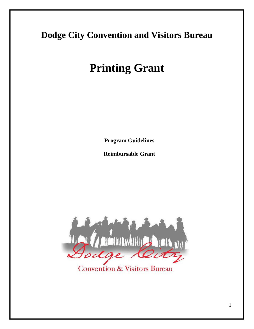## **Dodge City Convention and Visitors Bureau**

# **Printing Grant**

**Program Guidelines**

**Reimbursable Grant**



**Convention & Visitors Bureau**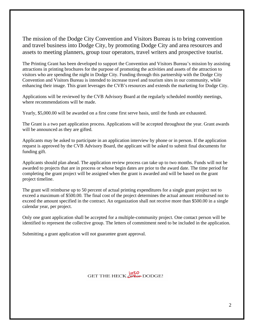The mission of the Dodge City Convention and Visitors Bureau is to bring convention and travel business into Dodge City, by promoting Dodge City and area resources and assets to meeting planners, group tour operators, travel writers and prospective tourist.

The Printing Grant has been developed to support the Convention and Visitors Bureau's mission by assisting attractions in printing brochures for the purpose of promoting the activities and assets of the attraction to visitors who are spending the night in Dodge City. Funding through this partnership with the Dodge City Convention and Visitors Bureau is intended to increase travel and tourism sites in our community, while enhancing their image. This grant leverages the CVB's resources and extends the marketing for Dodge City.

Applications will be reviewed by the CVB Advisory Board at the regularly scheduled monthly meetings, where recommendations will be made.

Yearly, \$5,000.00 will be awarded on a first come first serve basis, until the funds are exhausted.

The Grant is a two part application process. Applications will be accepted throughout the year. Grant awards will be announced as they are gifted.

Applicants may be asked to participate in an application interview by phone or in person. If the application request is approved by the CVB Advisory Board, the applicant will be asked to submit final documents for funding gift.

Applicants should plan ahead. The application review process can take up to two months. Funds will not be awarded to projects that are in process or whose begin dates are prior to the award date. The time period for completing the grant project will be assigned when the grant is awarded and will be based on the grant project timeline.

The grant will reimburse up to 50 percent of actual printing expenditures for a single grant project not to exceed a maximum of \$500.00. The final cost of the project determines the actual amount reimbursed not to exceed the amount specified in the contract. An organization shall not receive more than \$500.00 in a single calendar year, per project.

Only one grant application shall be accepted for a multiple-community project. One contact person will be identified to represent the collective group. The letters of commitment need to be included in the application.

Submitting a grant application will not guarantee grant approval.

GET THE HECK OFFER DODGE!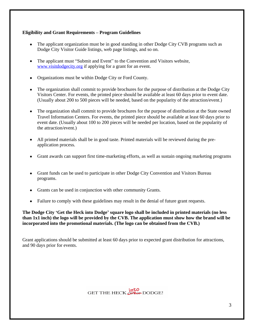### **Eligibility and Grant Requirements – Program Guidelines**

- The applicant organization must be in good standing in other Dodge City CVB programs such as Dodge City Visitor Guide listings, web page listings, and so on.
- The applicant must "Submit and Event" to the Convention and Visitors website, [www.visitdodgecity.org](http://www.visitdodgecity.org) if applying for a grant for an event.
- Organizations must be within Dodge City or Ford County.
- The organization shall commit to provide brochures for the purpose of distribution at the Dodge City Visitors Center. For events, the printed piece should be available at least 60 days prior to event date. (Usually about 200 to 500 pieces will be needed, based on the popularity of the attraction/event.)
- The organization shall commit to provide brochures for the purpose of distribution at the State owned Travel Information Centers. For events, the printed piece should be available at least 60 days prior to event date. (Usually about 100 to 200 pieces will be needed per location, based on the popularity of the attraction/event.)
- All printed materials shall be in good taste. Printed materials will be reviewed during the preapplication process.
- Grant awards can support first time-marketing efforts, as well as sustain ongoing marketing programs.
- Grant funds can be used to participate in other Dodge City Convention and Visitors Bureau programs.
- Grants can be used in conjunction with other community Grants.
- Failure to comply with these guidelines may result in the denial of future grant requests.

**The Dodge City 'Get the Heck into Dodge' square logo shall be included in printed materials (no less than 1x1 inch) the logo will be provided by the CVB. The application must show how the brand will be incorporated into the promotional materials. (The logo can be obtained from the CVB.)**

Grant applications should be submitted at least 60 days prior to expected grant distribution for attractions, and 90 days prior for events.

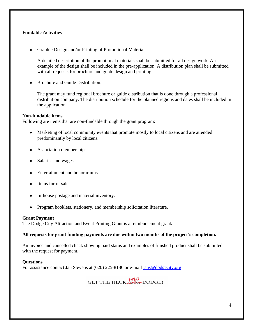### **Fundable Activities**

Graphic Design and/or Printing of Promotional Materials.

A detailed description of the promotional materials shall be submitted for all design work. An example of the design shall be included in the pre-application. A distribution plan shall be submitted with all requests for brochure and guide design and printing.

Brochure and Guide Distribution.

The grant may fund regional brochure or guide distribution that is done through a professional distribution company. The distribution schedule for the planned regions and dates shall be included in the application.

### **Non-fundable items**

Following are items that are non-fundable through the grant program:

- Marketing of local community events that promote mostly to local citizens and are attended predominantly by local citizens.
- Association memberships.
- Salaries and wages.
- Entertainment and honorariums.
- Items for re-sale.
- In-house postage and material inventory.
- Program booklets, stationery, and membership solicitation literature.

### **Grant Payment**

The Dodge City Attraction and Event Printing Grant is a reimbursement grant**.**

### **All requests for grant funding payments are due within two months of the project's completion.**

An invoice and cancelled check showing paid status and examples of finished product shall be submitted with the request for payment.

### **Questions**

For assistance contact Jan Stevens at (620) 225-8186 or e-mail [jans@dodgecity.org](mailto:jans@dodgecity.org)

GET THE HECK UPPOP DODGE!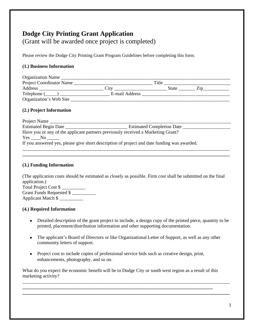### **Dodge City Printing Grant Application**

(Grant will be awarded once project is completed)

Please review the Dodge City Printing Grant Program Guidelines before completing this form.

### **(1.) Business Information**

| Organization Name        |                |       |  |
|--------------------------|----------------|-------|--|
| Project Coordinator Name |                | Title |  |
| Address                  | $C_1$ tv       | State |  |
| Telephone (              | E-mail Address |       |  |
| Organization's Web Site  |                |       |  |

### **(2.) Project Information**

| Project Name                                                                                |                                  |
|---------------------------------------------------------------------------------------------|----------------------------------|
| Estimated Begin Date                                                                        | <b>Estimated Completion Date</b> |
| Have you or any of the applicant partners previously received a Marketing Grant?            |                                  |
| $Yes \_\_No \_\_$                                                                           |                                  |
| If you answered yes, please give short description of project and date funding was awarded. |                                  |
|                                                                                             |                                  |

**\_\_\_\_\_\_\_\_\_\_\_\_\_\_\_\_\_\_\_\_\_\_\_\_\_\_\_\_\_\_\_\_\_\_\_\_\_\_\_\_\_\_\_\_\_\_\_\_\_\_\_\_\_\_\_\_\_\_\_\_\_\_\_\_\_\_\_\_\_\_\_\_\_\_\_\_\_\_\_\_\_\_\_\_\_\_\_**

### **(3.) Funding Information**

(The application costs should be estimated as closely as possible. Firm cost shall be submitted on the final application.)

Total Project Cost \$ \_\_\_\_\_\_\_\_\_\_ Grant Funds Requested \$ Applicant Match \$ \_\_\_\_\_\_\_\_\_\_

### **(4.) Required Information**

- Detailed description of the grant project to include, a design copy of the printed piece, quantity to be printed, placement/distribution information and other supporting documentation.
- The applicant's Board of Directors or like Organizational Letter of Support, as well as any other community letters of support.
- Project cost to include copies of professional service bids such as creative design, print, enhancements, photography, and so on.

What do you expect the economic benefit will be to Dodge City or south west region as a result of this marketing activity?

\_\_\_\_\_\_\_\_\_\_\_\_\_\_\_\_\_\_\_\_\_\_\_\_\_\_\_\_\_\_\_\_\_\_\_\_\_\_\_\_\_\_\_\_\_\_\_\_\_\_\_\_\_\_\_\_\_\_\_\_\_\_\_\_\_\_\_\_\_\_\_\_\_\_\_\_\_\_\_\_\_\_\_\_\_\_\_ **\_\_\_\_\_\_\_\_\_\_\_\_\_\_\_\_\_\_\_\_\_\_\_\_\_\_\_\_\_\_\_\_\_\_\_\_\_\_\_\_\_\_\_\_\_\_\_\_\_\_\_\_\_\_\_\_\_\_\_\_\_\_\_\_\_\_\_\_\_\_\_\_\_\_\_\_\_\_\_\_\_\_\_\_\_\_\_ \_\_\_\_\_\_\_\_\_\_\_\_\_\_\_\_\_\_\_\_\_\_\_\_\_\_\_\_\_\_\_\_\_\_\_\_\_\_\_\_\_\_\_\_\_\_\_\_\_\_\_\_\_\_\_\_\_\_\_\_\_\_\_\_\_\_\_\_\_\_\_\_\_\_\_\_\_\_\_\_\_\_\_\_\_\_\_**